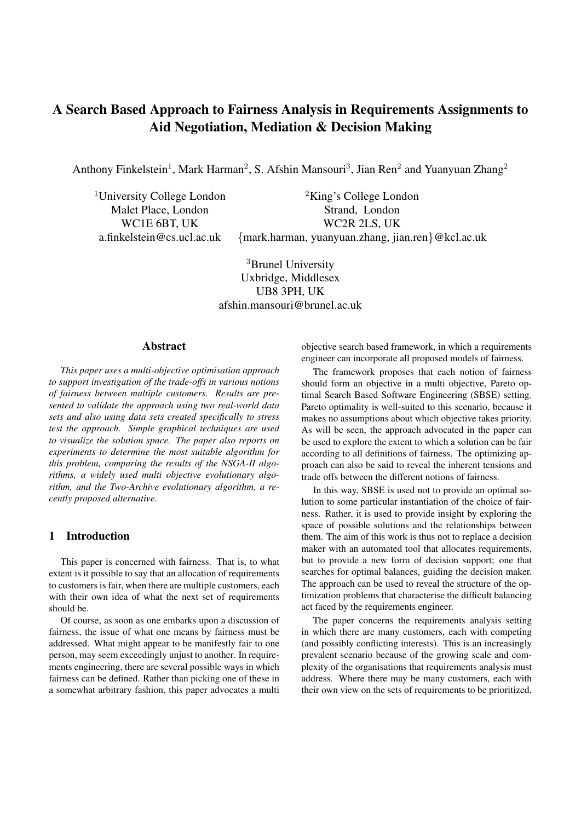# A Search Based Approach to Fairness Analysis in Requirements Assignments to Aid Negotiation, Mediation & Decision Making

Anthony Finkelstein<sup>1</sup>, Mark Harman<sup>2</sup>, S. Afshin Mansouri<sup>3</sup>, Jian Ren<sup>2</sup> and Yuanyuan Zhang<sup>2</sup>

<sup>1</sup>University College London  $2King's$  College London Malet Place, London Strand, London WC1E 6BT, UK WC2R 2LS, UK a.finkelstein@cs.ucl.ac.uk {mark.harman, yuanyuan.zhang, jian.ren}@kcl.ac.uk

> <sup>3</sup>Brunel University Uxbridge, Middlesex UB8 3PH, UK afshin.mansouri@brunel.ac.uk

### Abstract

*This paper uses a multi-objective optimisation approach to support investigation of the trade-offs in various notions of fairness between multiple customers. Results are presented to validate the approach using two real-world data sets and also using data sets created specifically to stress test the approach. Simple graphical techniques are used to visualize the solution space. The paper also reports on experiments to determine the most suitable algorithm for this problem, comparing the results of the NSGA-II algorithms, a widely used multi objective evolutionary algorithm, and the Two-Archive evolutionary algorithm, a recently proposed alternative.*

#### 1 Introduction

This paper is concerned with fairness. That is, to what extent is it possible to say that an allocation of requirements to customers is fair, when there are multiple customers, each with their own idea of what the next set of requirements should be.

Of course, as soon as one embarks upon a discussion of fairness, the issue of what one means by fairness must be addressed. What might appear to be manifestly fair to one person, may seem exceedingly unjust to another. In requirements engineering, there are several possible ways in which fairness can be defined. Rather than picking one of these in a somewhat arbitrary fashion, this paper advocates a multi

objective search based framework, in which a requirements engineer can incorporate all proposed models of fairness.

The framework proposes that each notion of fairness should form an objective in a multi objective, Pareto optimal Search Based Software Engineering (SBSE) setting. Pareto optimality is well-suited to this scenario, because it makes no assumptions about which objective takes priority. As will be seen, the approach advocated in the paper can be used to explore the extent to which a solution can be fair according to all definitions of fairness. The optimizing approach can also be said to reveal the inherent tensions and trade offs between the different notions of fairness.

In this way, SBSE is used not to provide an optimal solution to some particular instantiation of the choice of fairness. Rather, it is used to provide insight by exploring the space of possible solutions and the relationships between them. The aim of this work is thus not to replace a decision maker with an automated tool that allocates requirements, but to provide a new form of decision support; one that searches for optimal balances, guiding the decision maker. The approach can be used to reveal the structure of the optimization problems that characterise the difficult balancing act faced by the requirements engineer.

The paper concerns the requirements analysis setting in which there are many customers, each with competing (and possibly conflicting interests). This is an increasingly prevalent scenario because of the growing scale and complexity of the organisations that requirements analysis must address. Where there may be many customers, each with their own view on the sets of requirements to be prioritized,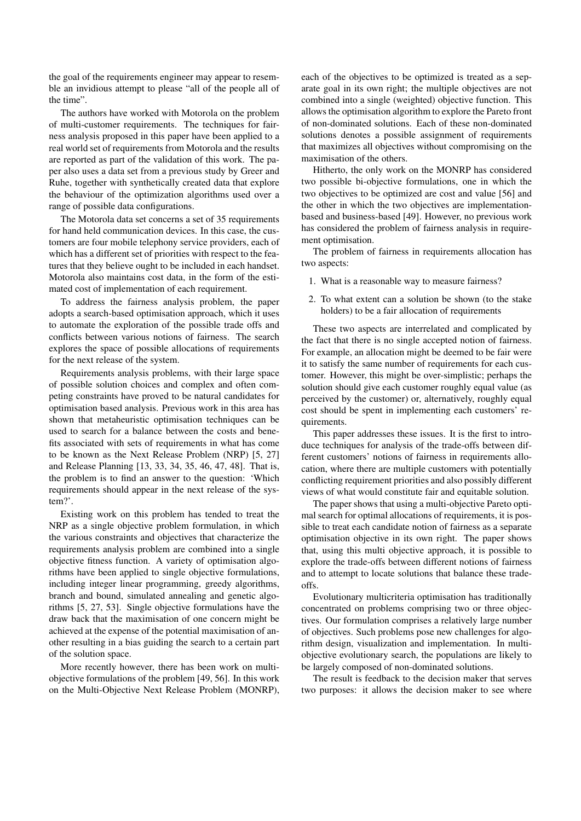the goal of the requirements engineer may appear to resemble an invidious attempt to please "all of the people all of the time".

The authors have worked with Motorola on the problem of multi-customer requirements. The techniques for fairness analysis proposed in this paper have been applied to a real world set of requirements from Motorola and the results are reported as part of the validation of this work. The paper also uses a data set from a previous study by Greer and Ruhe, together with synthetically created data that explore the behaviour of the optimization algorithms used over a range of possible data configurations.

The Motorola data set concerns a set of 35 requirements for hand held communication devices. In this case, the customers are four mobile telephony service providers, each of which has a different set of priorities with respect to the features that they believe ought to be included in each handset. Motorola also maintains cost data, in the form of the estimated cost of implementation of each requirement.

To address the fairness analysis problem, the paper adopts a search-based optimisation approach, which it uses to automate the exploration of the possible trade offs and conflicts between various notions of fairness. The search explores the space of possible allocations of requirements for the next release of the system.

Requirements analysis problems, with their large space of possible solution choices and complex and often competing constraints have proved to be natural candidates for optimisation based analysis. Previous work in this area has shown that metaheuristic optimisation techniques can be used to search for a balance between the costs and benefits associated with sets of requirements in what has come to be known as the Next Release Problem (NRP) [5, 27] and Release Planning [13, 33, 34, 35, 46, 47, 48]. That is, the problem is to find an answer to the question: 'Which requirements should appear in the next release of the system?'.

Existing work on this problem has tended to treat the NRP as a single objective problem formulation, in which the various constraints and objectives that characterize the requirements analysis problem are combined into a single objective fitness function. A variety of optimisation algorithms have been applied to single objective formulations, including integer linear programming, greedy algorithms, branch and bound, simulated annealing and genetic algorithms [5, 27, 53]. Single objective formulations have the draw back that the maximisation of one concern might be achieved at the expense of the potential maximisation of another resulting in a bias guiding the search to a certain part of the solution space.

More recently however, there has been work on multiobjective formulations of the problem [49, 56]. In this work on the Multi-Objective Next Release Problem (MONRP), each of the objectives to be optimized is treated as a separate goal in its own right; the multiple objectives are not combined into a single (weighted) objective function. This allows the optimisation algorithm to explore the Pareto front of non-dominated solutions. Each of these non-dominated solutions denotes a possible assignment of requirements that maximizes all objectives without compromising on the maximisation of the others.

Hitherto, the only work on the MONRP has considered two possible bi-objective formulations, one in which the two objectives to be optimized are cost and value [56] and the other in which the two objectives are implementationbased and business-based [49]. However, no previous work has considered the problem of fairness analysis in requirement optimisation.

The problem of fairness in requirements allocation has two aspects:

- 1. What is a reasonable way to measure fairness?
- 2. To what extent can a solution be shown (to the stake holders) to be a fair allocation of requirements

These two aspects are interrelated and complicated by the fact that there is no single accepted notion of fairness. For example, an allocation might be deemed to be fair were it to satisfy the same number of requirements for each customer. However, this might be over-simplistic; perhaps the solution should give each customer roughly equal value (as perceived by the customer) or, alternatively, roughly equal cost should be spent in implementing each customers' requirements.

This paper addresses these issues. It is the first to introduce techniques for analysis of the trade-offs between different customers' notions of fairness in requirements allocation, where there are multiple customers with potentially conflicting requirement priorities and also possibly different views of what would constitute fair and equitable solution.

The paper shows that using a multi-objective Pareto optimal search for optimal allocations of requirements, it is possible to treat each candidate notion of fairness as a separate optimisation objective in its own right. The paper shows that, using this multi objective approach, it is possible to explore the trade-offs between different notions of fairness and to attempt to locate solutions that balance these tradeoffs.

Evolutionary multicriteria optimisation has traditionally concentrated on problems comprising two or three objectives. Our formulation comprises a relatively large number of objectives. Such problems pose new challenges for algorithm design, visualization and implementation. In multiobjective evolutionary search, the populations are likely to be largely composed of non-dominated solutions.

The result is feedback to the decision maker that serves two purposes: it allows the decision maker to see where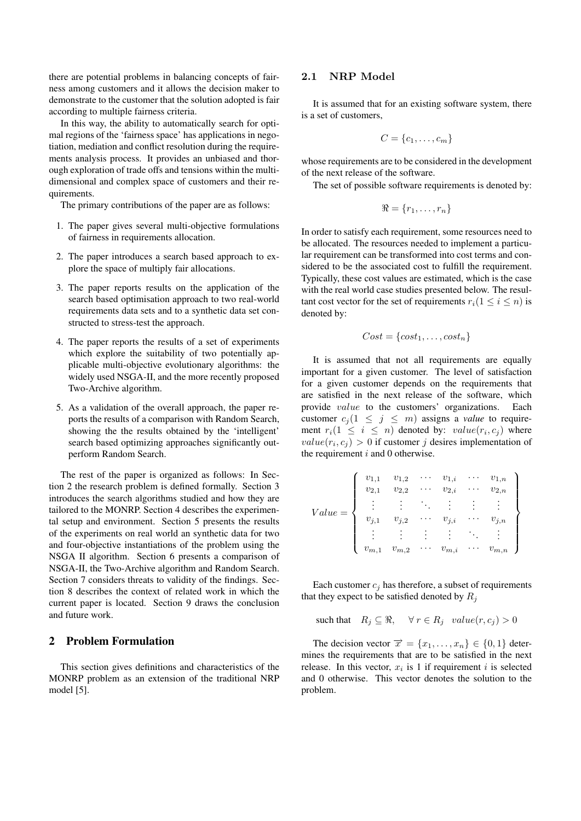there are potential problems in balancing concepts of fairness among customers and it allows the decision maker to demonstrate to the customer that the solution adopted is fair according to multiple fairness criteria.

In this way, the ability to automatically search for optimal regions of the 'fairness space' has applications in negotiation, mediation and conflict resolution during the requirements analysis process. It provides an unbiased and thorough exploration of trade offs and tensions within the multidimensional and complex space of customers and their requirements.

The primary contributions of the paper are as follows:

- 1. The paper gives several multi-objective formulations of fairness in requirements allocation.
- 2. The paper introduces a search based approach to explore the space of multiply fair allocations.
- 3. The paper reports results on the application of the search based optimisation approach to two real-world requirements data sets and to a synthetic data set constructed to stress-test the approach.
- 4. The paper reports the results of a set of experiments which explore the suitability of two potentially applicable multi-objective evolutionary algorithms: the widely used NSGA-II, and the more recently proposed Two-Archive algorithm.
- 5. As a validation of the overall approach, the paper reports the results of a comparison with Random Search, showing the the results obtained by the 'intelligent' search based optimizing approaches significantly outperform Random Search.

The rest of the paper is organized as follows: In Section 2 the research problem is defined formally. Section 3 introduces the search algorithms studied and how they are tailored to the MONRP. Section 4 describes the experimental setup and environment. Section 5 presents the results of the experiments on real world an synthetic data for two and four-objective instantiations of the problem using the NSGA II algorithm. Section 6 presents a comparison of NSGA-II, the Two-Archive algorithm and Random Search. Section 7 considers threats to validity of the findings. Section 8 describes the context of related work in which the current paper is located. Section 9 draws the conclusion and future work.

# 2 Problem Formulation

This section gives definitions and characteristics of the MONRP problem as an extension of the traditional NRP model [5].

#### 2.1 NRP Model

It is assumed that for an existing software system, there is a set of customers,

$$
C = \{c_1, \ldots, c_m\}
$$

whose requirements are to be considered in the development of the next release of the software.

The set of possible software requirements is denoted by:

$$
\Re = \{r_1, \ldots, r_n\}
$$

In order to satisfy each requirement, some resources need to be allocated. The resources needed to implement a particular requirement can be transformed into cost terms and considered to be the associated cost to fulfill the requirement. Typically, these cost values are estimated, which is the case with the real world case studies presented below. The resultant cost vector for the set of requirements  $r_i(1 \leq i \leq n)$  is denoted by:

$$
Cost = \{cost_1, \ldots, cost_n\}
$$

It is assumed that not all requirements are equally important for a given customer. The level of satisfaction for a given customer depends on the requirements that are satisfied in the next release of the software, which provide value to the customers' organizations. Each customer  $c_j (1 \leq j \leq m)$  assigns a *value* to requirement  $r_i(1 \leq i \leq n)$  denoted by:  $value(r_i, c_j)$  where  $value(r_i, c_j) > 0$  if customer j desires implementation of the requirement  $i$  and 0 otherwise.

|           | $v_{1,1}$<br>$v_{2,1}$ | $v_{1,2}$<br>$v_{2,2}$ | $v_{1,i}$<br>$v_{2,i}$ | $v_{1,n}$<br>$v_{2,n}$ |  |
|-----------|------------------------|------------------------|------------------------|------------------------|--|
| $Value =$ |                        |                        |                        |                        |  |
|           | $v_{j,1}$              | $v_{j,2}$              | $v_{j,i}$              | $\boldsymbol{v}_{j,n}$ |  |
|           | $v_{m,1}$              | $v_{m,2}$              | $v_{m,i}$              | $v_{m,n}$              |  |

Each customer  $c_i$  has therefore, a subset of requirements that they expect to be satisfied denoted by  $R_i$ 

such that 
$$
R_j \subseteq \Re
$$
,  $\forall r \in R_j$  value $(r, c_j) > 0$ 

The decision vector  $\overrightarrow{x} = \{x_1, \ldots, x_n\} \in \{0, 1\}$  determines the requirements that are to be satisfied in the next release. In this vector,  $x_i$  is 1 if requirement i is selected and 0 otherwise. This vector denotes the solution to the problem.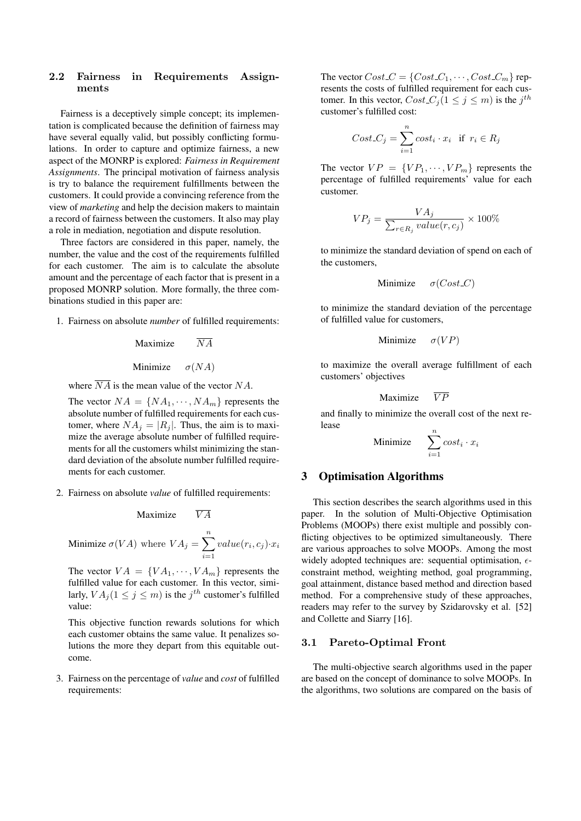#### 2.2 Fairness in Requirements Assignments

Fairness is a deceptively simple concept; its implementation is complicated because the definition of fairness may have several equally valid, but possibly conflicting formulations. In order to capture and optimize fairness, a new aspect of the MONRP is explored: *Fairness in Requirement Assignments*. The principal motivation of fairness analysis is try to balance the requirement fulfillments between the customers. It could provide a convincing reference from the view of *marketing* and help the decision makers to maintain a record of fairness between the customers. It also may play a role in mediation, negotiation and dispute resolution.

Three factors are considered in this paper, namely, the number, the value and the cost of the requirements fulfilled for each customer. The aim is to calculate the absolute amount and the percentage of each factor that is present in a proposed MONRP solution. More formally, the three combinations studied in this paper are:

1. Fairness on absolute *number* of fulfilled requirements:

$$
Maximize \t\t \overline{NA}
$$

Minimize 
$$
\sigma(NA)
$$

where  $\overline{NA}$  is the mean value of the vector NA.

The vector  $NA = \{NA_1, \dots, NA_m\}$  represents the absolute number of fulfilled requirements for each customer, where  $NA_j = |R_j|$ . Thus, the aim is to maximize the average absolute number of fulfilled requirements for all the customers whilst minimizing the standard deviation of the absolute number fulfilled requirements for each customer.

2. Fairness on absolute *value* of fulfilled requirements:

$$
\text{Maximize} \quad \overline{VA}
$$
\n
$$
\text{Minimize } \sigma(VA) \text{ where } VA_j = \sum_{i=1}^n value(r_i, c_j) \cdot x_i
$$

The vector  $VA = \{VA_1, \dots, VA_m\}$  represents the fulfilled value for each customer. In this vector, similarly,  $VA_j (1 \leq j \leq m)$  is the  $j^{th}$  customer's fulfilled value:

This objective function rewards solutions for which each customer obtains the same value. It penalizes solutions the more they depart from this equitable outcome.

3. Fairness on the percentage of *value* and *cost* of fulfilled requirements:

The vector  $Cost\_C = \{Cost\_C_1, \dots, Cost\_C_m\}$  represents the costs of fulfilled requirement for each customer. In this vector,  $Cost_C_j (1 \le j \le m)$  is the  $j^{th}$ customer's fulfilled cost:

$$
Cost.C_j = \sum_{i=1}^{n} cost_i \cdot x_i \text{ if } r_i \in R_j
$$

The vector  $VP = \{VP_1, \dots, VP_m\}$  represents the percentage of fulfilled requirements' value for each customer.

$$
VP_j = \frac{VA_j}{\sum_{r \in R_j} value(r, c_j)} \times 100\%
$$

to minimize the standard deviation of spend on each of the customers,

Minimize 
$$
\sigma(Cost_C)
$$

to minimize the standard deviation of the percentage of fulfilled value for customers,

Minimize 
$$
\sigma(VP)
$$

to maximize the overall average fulfillment of each customers' objectives

$$
Maximize \quad \overline{VP}
$$

and finally to minimize the overall cost of the next release

$$
\text{Minimize} \quad \sum_{i=1}^{n} cost_i \cdot x_i
$$

## 3 Optimisation Algorithms

This section describes the search algorithms used in this paper. In the solution of Multi-Objective Optimisation Problems (MOOPs) there exist multiple and possibly conflicting objectives to be optimized simultaneously. There are various approaches to solve MOOPs. Among the most widely adopted techniques are: sequential optimisation,  $\epsilon$ constraint method, weighting method, goal programming, goal attainment, distance based method and direction based method. For a comprehensive study of these approaches, readers may refer to the survey by Szidarovsky et al. [52] and Collette and Siarry [16].

#### 3.1 Pareto-Optimal Front

The multi-objective search algorithms used in the paper are based on the concept of dominance to solve MOOPs. In the algorithms, two solutions are compared on the basis of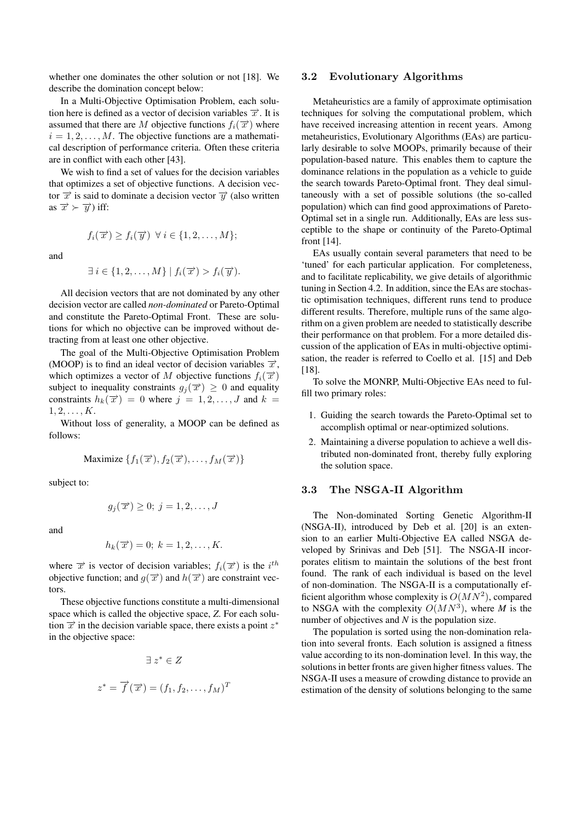whether one dominates the other solution or not [18]. We describe the domination concept below:

In a Multi-Objective Optimisation Problem, each solution here is defined as a vector of decision variables  $\vec{x}$ . It is assumed that there are M objective functions  $f_i(\vec{x})$  where  $i = 1, 2, \ldots, M$ . The objective functions are a mathematical description of performance criteria. Often these criteria are in conflict with each other [43].

We wish to find a set of values for the decision variables that optimizes a set of objective functions. A decision vector  $\vec{x}$  is said to dominate a decision vector  $\vec{y}$  (also written as  $\overrightarrow{x} \succ \overrightarrow{y}$  iff:

$$
f_i(\overrightarrow{x}) \ge f_i(\overrightarrow{y}) \ \forall \ i \in \{1, 2, \dots, M\};
$$

and

$$
\exists i \in \{1, 2, \dots, M\} \mid f_i(\overrightarrow{x}) > f_i(\overrightarrow{y}).
$$

All decision vectors that are not dominated by any other decision vector are called *non-dominated* or Pareto-Optimal and constitute the Pareto-Optimal Front. These are solutions for which no objective can be improved without detracting from at least one other objective.

The goal of the Multi-Objective Optimisation Problem (MOOP) is to find an ideal vector of decision variables  $\vec{x}$ , which optimizes a vector of M objective functions  $f_i(\vec{x})$ subject to inequality constraints  $g_j(\vec{x}) \geq 0$  and equality constraints  $h_k(\vec{x}) = 0$  where  $j = 1, 2, ..., J$  and  $k =$  $1, 2, \ldots, K$ .

Without loss of generality, a MOOP can be defined as follows:

$$
\text{Maximize } \{f_1(\vec{x}), f_2(\vec{x}), \ldots, f_M(\vec{x})\}
$$

subject to:

$$
g_j(\overrightarrow{x}) \geq 0; j = 1, 2, \dots, J
$$

and

$$
h_k(\overrightarrow{x}) = 0; k = 1, 2, \ldots, K.
$$

where  $\overrightarrow{x}$  is vector of decision variables;  $f_i(\overrightarrow{x})$  is the  $i^{th}$ objective function; and  $g(\vec{x})$  and  $h(\vec{x})$  are constraint vectors.

These objective functions constitute a multi-dimensional space which is called the objective space, *Z*. For each solution  $\vec{x}$  in the decision variable space, there exists a point  $z^*$ in the objective space:

$$
\exists z^* \in Z
$$

$$
z^* = \overrightarrow{f}(\overrightarrow{x}) = (f_1, f_2, \dots, f_M)^T
$$

#### 3.2 Evolutionary Algorithms

Metaheuristics are a family of approximate optimisation techniques for solving the computational problem, which have received increasing attention in recent years. Among metaheuristics, Evolutionary Algorithms (EAs) are particularly desirable to solve MOOPs, primarily because of their population-based nature. This enables them to capture the dominance relations in the population as a vehicle to guide the search towards Pareto-Optimal front. They deal simultaneously with a set of possible solutions (the so-called population) which can find good approximations of Pareto-Optimal set in a single run. Additionally, EAs are less susceptible to the shape or continuity of the Pareto-Optimal front [14].

EAs usually contain several parameters that need to be 'tuned' for each particular application. For completeness, and to facilitate replicability, we give details of algorithmic tuning in Section 4.2. In addition, since the EAs are stochastic optimisation techniques, different runs tend to produce different results. Therefore, multiple runs of the same algorithm on a given problem are needed to statistically describe their performance on that problem. For a more detailed discussion of the application of EAs in multi-objective optimisation, the reader is referred to Coello et al. [15] and Deb [18].

To solve the MONRP, Multi-Objective EAs need to fulfill two primary roles:

- 1. Guiding the search towards the Pareto-Optimal set to accomplish optimal or near-optimized solutions.
- 2. Maintaining a diverse population to achieve a well distributed non-dominated front, thereby fully exploring the solution space.

#### 3.3 The NSGA-II Algorithm

The Non-dominated Sorting Genetic Algorithm-II (NSGA-II), introduced by Deb et al. [20] is an extension to an earlier Multi-Objective EA called NSGA developed by Srinivas and Deb [51]. The NSGA-II incorporates elitism to maintain the solutions of the best front found. The rank of each individual is based on the level of non-domination. The NSGA-II is a computationally efficient algorithm whose complexity is  $O(MN^2)$ , compared to NSGA with the complexity  $O(MN^3)$ , where *M* is the number of objectives and *N* is the population size.

The population is sorted using the non-domination relation into several fronts. Each solution is assigned a fitness value according to its non-domination level. In this way, the solutions in better fronts are given higher fitness values. The NSGA-II uses a measure of crowding distance to provide an estimation of the density of solutions belonging to the same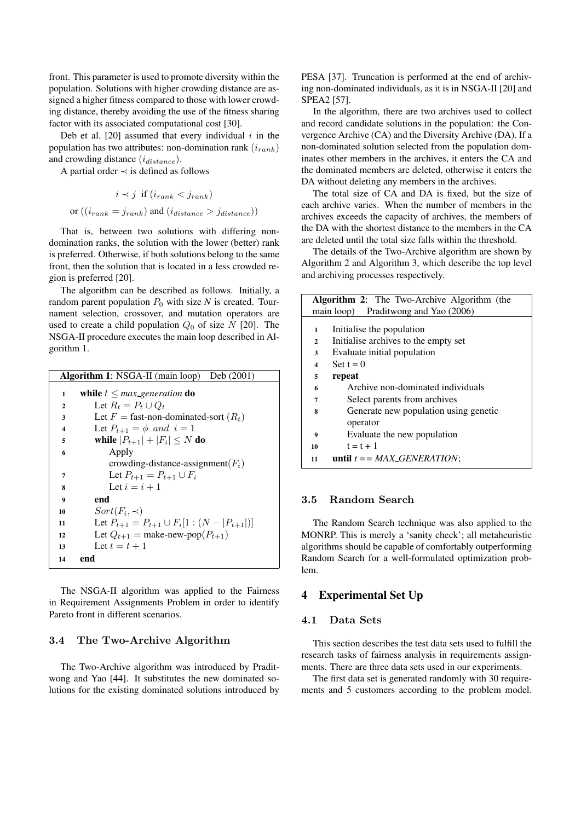front. This parameter is used to promote diversity within the population. Solutions with higher crowding distance are assigned a higher fitness compared to those with lower crowding distance, thereby avoiding the use of the fitness sharing factor with its associated computational cost [30].

Deb et al. [20] assumed that every individual  $i$  in the population has two attributes: non-domination rank  $(i_{rank})$ and crowding distance  $(i_{distance})$ .

A partial order ≺ is defined as follows

$$
i \prec j \text{ if } (i_{rank} < j_{rank})
$$
\nor 
$$
((i_{rank} = j_{rank}) \text{ and } (i_{distance} > j_{distance}))
$$

That is, between two solutions with differing nondomination ranks, the solution with the lower (better) rank is preferred. Otherwise, if both solutions belong to the same front, then the solution that is located in a less crowded region is preferred [20].

The algorithm can be described as follows. Initially, a random parent population  $P_0$  with size  $N$  is created. Tournament selection, crossover, and mutation operators are used to create a child population  $Q_0$  of size N [20]. The NSGA-II procedure executes the main loop described in Algorithm 1.

|              | Algorithm 1: NSGA-II (main loop) Deb (2001)         |
|--------------|-----------------------------------------------------|
|              |                                                     |
| 1            | while $t \leq max$ generation do                    |
| $\mathbf{2}$ | Let $R_t = P_t \cup Q_t$                            |
| 3            | Let $F =$ fast-non-dominated-sort $(R_t)$           |
| 4            | Let $P_{t+1} = \phi$ and $i = 1$                    |
| 5            | while $ P_{t+1}  +  F_i  \leq N$ do                 |
| 6            | Apply                                               |
|              | crowding-distance-assignment( $F_i$ )               |
| 7            | Let $P_{t+1} = P_{t+1} \cup F_i$                    |
| 8            | Let $i = i + 1$                                     |
| 9            | end                                                 |
| 10           | $Sort(F_i, \prec)$                                  |
| 11           | Let $P_{t+1} = P_{t+1} \cup F_i[1:(N -  P_{t+1} )]$ |
| 12           | Let $Q_{t+1}$ = make-new-pop( $P_{t+1}$ )           |
| 13           | Let $t = t + 1$                                     |
| 14           | end                                                 |

The NSGA-II algorithm was applied to the Fairness in Requirement Assignments Problem in order to identify Pareto front in different scenarios.

#### 3.4 The Two-Archive Algorithm

The Two-Archive algorithm was introduced by Praditwong and Yao [44]. It substitutes the new dominated solutions for the existing dominated solutions introduced by PESA [37]. Truncation is performed at the end of archiving non-dominated individuals, as it is in NSGA-II [20] and SPEA2 [57].

In the algorithm, there are two archives used to collect and record candidate solutions in the population: the Convergence Archive (CA) and the Diversity Archive (DA). If a non-dominated solution selected from the population dominates other members in the archives, it enters the CA and the dominated members are deleted, otherwise it enters the DA without deleting any members in the archives.

The total size of CA and DA is fixed, but the size of each archive varies. When the number of members in the archives exceeds the capacity of archives, the members of the DA with the shortest distance to the members in the CA are deleted until the total size falls within the threshold.

The details of the Two-Archive algorithm are shown by Algorithm 2 and Algorithm 3, which describe the top level and archiving processes respectively.

|                         | <b>Algorithm 2:</b> The Two-Archive Algorithm (the |
|-------------------------|----------------------------------------------------|
| main loop)              | Praditwong and Yao (2006)                          |
|                         |                                                    |
| 1                       | Initialise the population                          |
| $\mathbf{2}$            | Initialise archives to the empty set               |
| 3                       | Evaluate initial population                        |
| $\overline{\mathbf{4}}$ | Set $t = 0$                                        |
| repeat<br>5             |                                                    |
| 6                       | Archive non-dominated individuals                  |
| 7                       | Select parents from archives                       |
| 8                       | Generate new population using genetic              |
|                         | operator                                           |
| 9                       | Evaluate the new population                        |
| 10                      | $t = t + 1$                                        |
| 11                      | until $t = = MAX\_GENERALION$ ;                    |

## 3.5 Random Search

The Random Search technique was also applied to the MONRP. This is merely a 'sanity check'; all metaheuristic algorithms should be capable of comfortably outperforming Random Search for a well-formulated optimization problem.

## 4 Experimental Set Up

#### 4.1 Data Sets

This section describes the test data sets used to fulfill the research tasks of fairness analysis in requirements assignments. There are three data sets used in our experiments.

The first data set is generated randomly with 30 requirements and 5 customers according to the problem model.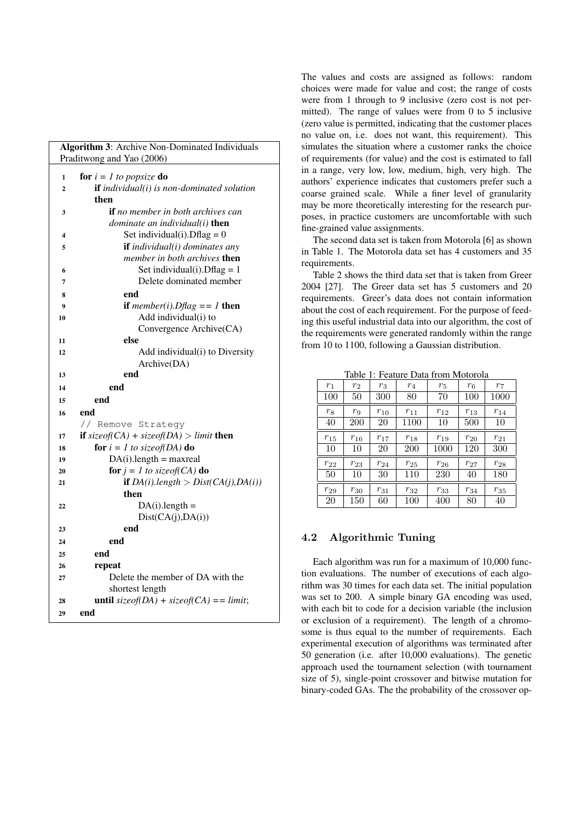|                | Algorithm 3: Archive Non-Dominated Individuals              |
|----------------|-------------------------------------------------------------|
|                | Praditwong and Yao (2006)                                   |
| 1              | for $i = 1$ to popsize do                                   |
| $\overline{2}$ | if individual( $i$ ) is non-dominated solution              |
|                | then                                                        |
| 3              | <b>if</b> no member in both archives can                    |
|                | dominate an individual(i) then                              |
| 4              | Set individual(i). Dflag = $0$                              |
| 5              | if individual $(i)$ dominates any                           |
|                | member in both archives then                                |
| 6              | Set individual(i). Dflag = 1                                |
| 7              | Delete dominated member                                     |
| 8              | end                                                         |
| 9              | <b>if</b> member( <i>i</i> ). <i>Dflag</i> == 1 <b>then</b> |
| 10             | Add individual(i) to                                        |
|                | Convergence Archive(CA)                                     |
| 11             | else                                                        |
| 12             | Add individual(i) to Diversity                              |
|                | Archive(DA)                                                 |
| 13             | end                                                         |
| 14             | end                                                         |
| 15             | end                                                         |
| 16             | end                                                         |
|                | // Remove Strategy                                          |
| 17             | <b>if</b> sizeof( $CA$ ) + sizeof( $DA$ ) > limit then      |
| 18             | for $i = 1$ to size of (DA) do                              |
| 19             | $DA(i).length = maxreal$                                    |
| 20             | for $j = 1$ to size of (CA) do                              |
| 21             | <b>if</b> $DA(i)$ .length > $Dist(CA(j), DA(i))$            |
|                | then                                                        |
| 22             | $DA(i).length =$                                            |
|                | Dist(CA(i),DA(i))                                           |
| 23             | end                                                         |
| 24             | end                                                         |
| 25             | end                                                         |
| 26             | repeat                                                      |
| 27             | Delete the member of DA with the                            |
|                | shortest length                                             |
| 28             | <b>until</b> sizeof(DA) + sizeof(CA) == limit;              |
| 29             | end                                                         |

The values and costs are assigned as follows: random choices were made for value and cost; the range of costs were from 1 through to 9 inclusive (zero cost is not permitted). The range of values were from 0 to 5 inclusive (zero value is permitted, indicating that the customer places no value on, i.e. does not want, this requirement). This simulates the situation where a customer ranks the choice of requirements (for value) and the cost is estimated to fall in a range, very low, low, medium, high, very high. The authors' experience indicates that customers prefer such a coarse grained scale. While a finer level of granularity may be more theoretically interesting for the research purposes, in practice customers are uncomfortable with such fine-grained value assignments.

The second data set is taken from Motorola [6] as shown in Table 1. The Motorola data set has 4 customers and 35 requirements.

Table 2 shows the third data set that is taken from Greer 2004 [27]. The Greer data set has 5 customers and 20 requirements. Greer's data does not contain information about the cost of each requirement. For the purpose of feeding this useful industrial data into our algorithm, the cost of the requirements were generated randomly within the range from 10 to 1100, following a Gaussian distribution.

Table 1: Feature Data from Motorola

| $r_1$    | $r_2$    | $r_3$    | $r_4$    | $r_{5}$  | $r_6$    | r <sub>7</sub> |
|----------|----------|----------|----------|----------|----------|----------------|
| 100      | 50       | 300      | 80       | 70       | 100      | 1000           |
| $r_8$    | $r_9$    | $r_{10}$ | $r_{11}$ | $r_{12}$ | $r_{13}$ | $r_{14}$       |
| 40       | 200      | 20       | 1100     | 10       | 500      | 10             |
| $r_{15}$ | $r_{16}$ | $r_{17}$ | $r_{18}$ | $r_{19}$ | $r_{20}$ | $r_{21}$       |
| 10       | 10       | 20       | 200      | 1000     | 120      | 300            |
| $r_{22}$ | $r_{23}$ | $r_{24}$ | $r_{25}$ | $r_{26}$ | $r_{27}$ | $r_{28}$       |
| 50       | 10       | 30       | 110      | 230      | 40       | 180            |
| $r_{29}$ | $r_{30}$ | $r_{31}$ | $r_{32}$ | $r_{33}$ | $r_{34}$ | $r_{35}$       |
| 20       | 150      | 60       | 100      | 400      | 80       | 40             |

#### 4.2 Algorithmic Tuning

Each algorithm was run for a maximum of 10,000 function evaluations. The number of executions of each algorithm was 30 times for each data set. The initial population was set to 200. A simple binary GA encoding was used, with each bit to code for a decision variable (the inclusion or exclusion of a requirement). The length of a chromosome is thus equal to the number of requirements. Each experimental execution of algorithms was terminated after 50 generation (i.e. after 10,000 evaluations). The genetic approach used the tournament selection (with tournament size of 5), single-point crossover and bitwise mutation for binary-coded GAs. The the probability of the crossover op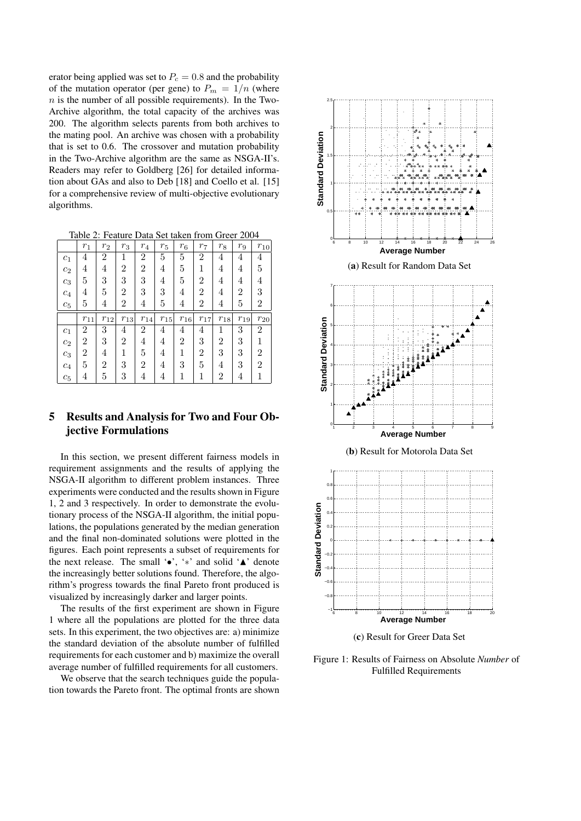erator being applied was set to  $P_c = 0.8$  and the probability of the mutation operator (per gene) to  $P_m = 1/n$  (where  $n$  is the number of all possible requirements). In the Two-Archive algorithm, the total capacity of the archives was 200. The algorithm selects parents from both archives to the mating pool. An archive was chosen with a probability that is set to 0.6. The crossover and mutation probability in the Two-Archive algorithm are the same as NSGA-II's. Readers may refer to Goldberg [26] for detailed information about GAs and also to Deb [18] and Coello et al. [15] for a comprehensive review of multi-objective evolutionary algorithms.

Table 2: Feature Data Set taken from Greer 2004

|                | $r_1$          | $r_{\rm 2}$    | $r_3\,$                              | $r_{4}$        | $r_5$                                | $r_6$          | r <sub>7</sub> | $r_8$          | $r_9$                                 | $r_{10}$         |
|----------------|----------------|----------------|--------------------------------------|----------------|--------------------------------------|----------------|----------------|----------------|---------------------------------------|------------------|
| $c_1$          | 4              | $\overline{2}$ | 1                                    | $\overline{2}$ | 5                                    | 5              | $\overline{2}$ | 4              | 4                                     | 4                |
| c <sub>2</sub> | 4              | 4              | $\overline{2}$                       | $\overline{2}$ | 4                                    | 5              | 1              | 4              | 4                                     | 5                |
| $c_3$          | 5              | 3              | 3                                    | 3              | 4                                    | 5              | $\overline{2}$ | 4              | 4                                     | 4                |
| $c_4$          | 4              | 5              | $\boldsymbol{2}$                     | 3              | 3                                    | 4              | $\overline{2}$ | 4              | $\overline{2}$                        | 3                |
| c <sub>5</sub> | 5              | 4              | $\overline{2}$                       | 4              | 5                                    | 4              | 2              | 4              | 5                                     | $\boldsymbol{2}$ |
|                |                |                |                                      |                |                                      |                |                |                |                                       |                  |
|                | $r_{11}$       | $r_{12}$       | $r_{13^{\scriptscriptstyle\dagger}}$ | $r_{14}$       | $r_{15^{\scriptscriptstyle\dagger}}$ | $r_{16}$       | $r_{17}$       | $r_{18}$       | $r_{19^{\scriptscriptstyle \dagger}}$ | $r_{20}$         |
| $c_1$          | 2              | 3              | 4                                    | 2              | 4                                    | 4              | 4              | 1              | 3                                     | $\overline{2}$   |
| c <sub>2</sub> | $\overline{2}$ | 3              | $\overline{2}$                       | 4              | 4                                    | $\overline{2}$ | 3              | $\overline{2}$ | 3                                     | 1                |
| $c_3$          | 2              | 4              | 1                                    | 5              | 4                                    | 1              | $\overline{2}$ | 3              | 3                                     | $\overline{2}$   |
| $c_4$          | 5              | $\overline{2}$ | 3                                    | $\overline{2}$ | 4                                    | 3              | 5              | 4              | 3                                     | $\overline{2}$   |

# 5 Results and Analysis for Two and Four Objective Formulations

In this section, we present different fairness models in requirement assignments and the results of applying the NSGA-II algorithm to different problem instances. Three experiments were conducted and the results shown in Figure 1, 2 and 3 respectively. In order to demonstrate the evolutionary process of the NSGA-II algorithm, the initial populations, the populations generated by the median generation and the final non-dominated solutions were plotted in the figures. Each point represents a subset of requirements for the next release. The small ' $\bullet$ ', '\*' and solid ' $\blacktriangle$ ' denote the increasingly better solutions found. Therefore, the algorithm's progress towards the final Pareto front produced is visualized by increasingly darker and larger points.

The results of the first experiment are shown in Figure 1 where all the populations are plotted for the three data sets. In this experiment, the two objectives are: a) minimize the standard deviation of the absolute number of fulfilled requirements for each customer and b) maximize the overall average number of fulfilled requirements for all customers.

We observe that the search techniques guide the population towards the Pareto front. The optimal fronts are shown





Figure 1: Results of Fairness on Absolute *Number* of Fulfilled Requirements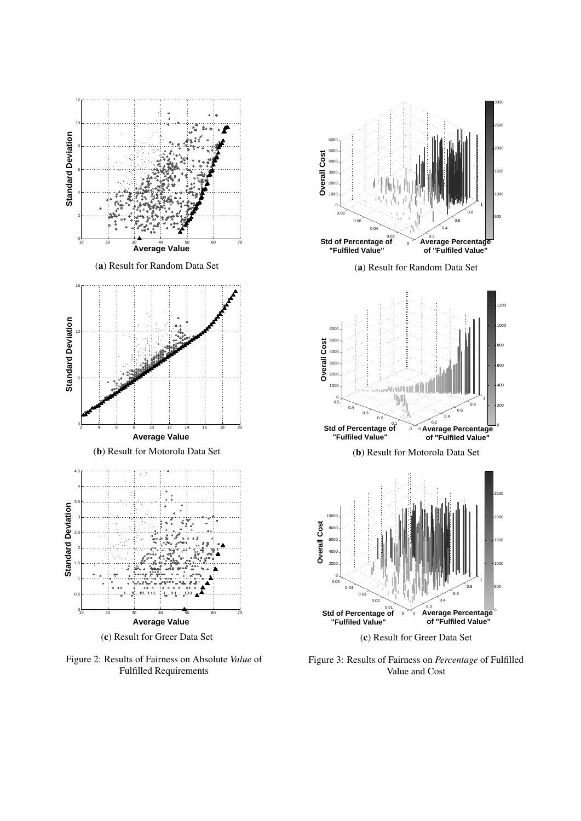





Figure 3: Results of Fairness on *Percentage* of Fulfilled Value and Cost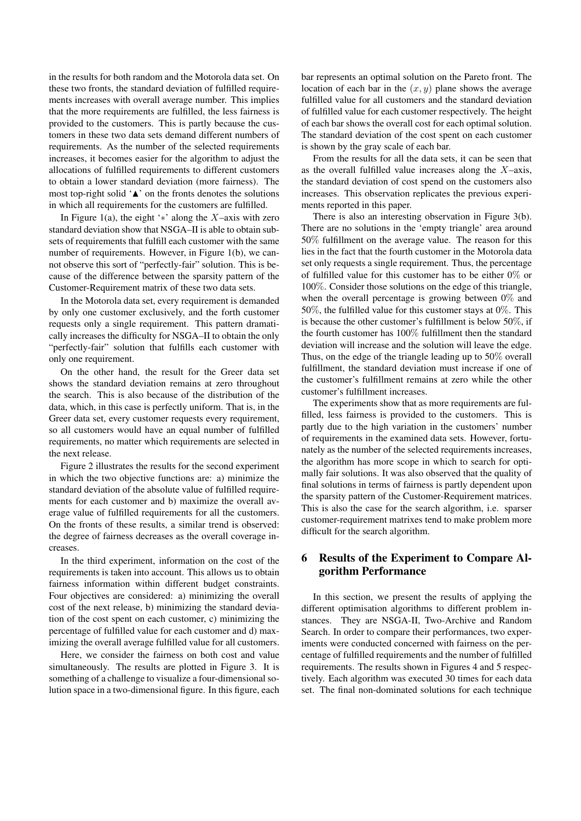in the results for both random and the Motorola data set. On these two fronts, the standard deviation of fulfilled requirements increases with overall average number. This implies that the more requirements are fulfilled, the less fairness is provided to the customers. This is partly because the customers in these two data sets demand different numbers of requirements. As the number of the selected requirements increases, it becomes easier for the algorithm to adjust the allocations of fulfilled requirements to different customers to obtain a lower standard deviation (more fairness). The most top-right solid  $\Delta'$  on the fronts denotes the solutions in which all requirements for the customers are fulfilled.

In Figure 1(a), the eight ' $*$ ' along the X–axis with zero standard deviation show that NSGA–II is able to obtain subsets of requirements that fulfill each customer with the same number of requirements. However, in Figure 1(b), we cannot observe this sort of "perfectly-fair" solution. This is because of the difference between the sparsity pattern of the Customer-Requirement matrix of these two data sets.

In the Motorola data set, every requirement is demanded by only one customer exclusively, and the forth customer requests only a single requirement. This pattern dramatically increases the difficulty for NSGA–II to obtain the only "perfectly-fair" solution that fulfills each customer with only one requirement.

On the other hand, the result for the Greer data set shows the standard deviation remains at zero throughout the search. This is also because of the distribution of the data, which, in this case is perfectly uniform. That is, in the Greer data set, every customer requests every requirement, so all customers would have an equal number of fulfilled requirements, no matter which requirements are selected in the next release.

Figure 2 illustrates the results for the second experiment in which the two objective functions are: a) minimize the standard deviation of the absolute value of fulfilled requirements for each customer and b) maximize the overall average value of fulfilled requirements for all the customers. On the fronts of these results, a similar trend is observed: the degree of fairness decreases as the overall coverage increases.

In the third experiment, information on the cost of the requirements is taken into account. This allows us to obtain fairness information within different budget constraints. Four objectives are considered: a) minimizing the overall cost of the next release, b) minimizing the standard deviation of the cost spent on each customer, c) minimizing the percentage of fulfilled value for each customer and d) maximizing the overall average fulfilled value for all customers.

Here, we consider the fairness on both cost and value simultaneously. The results are plotted in Figure 3. It is something of a challenge to visualize a four-dimensional solution space in a two-dimensional figure. In this figure, each bar represents an optimal solution on the Pareto front. The location of each bar in the  $(x, y)$  plane shows the average fulfilled value for all customers and the standard deviation of fulfilled value for each customer respectively. The height of each bar shows the overall cost for each optimal solution. The standard deviation of the cost spent on each customer is shown by the gray scale of each bar.

From the results for all the data sets, it can be seen that as the overall fulfilled value increases along the  $X$ –axis, the standard deviation of cost spend on the customers also increases. This observation replicates the previous experiments reported in this paper.

There is also an interesting observation in Figure 3(b). There are no solutions in the 'empty triangle' area around 50% fulfillment on the average value. The reason for this lies in the fact that the fourth customer in the Motorola data set only requests a single requirement. Thus, the percentage of fulfilled value for this customer has to be either 0% or 100%. Consider those solutions on the edge of this triangle, when the overall percentage is growing between 0% and 50%, the fulfilled value for this customer stays at  $0\%$ . This is because the other customer's fulfillment is below 50%, if the fourth customer has 100% fulfillment then the standard deviation will increase and the solution will leave the edge. Thus, on the edge of the triangle leading up to 50% overall fulfillment, the standard deviation must increase if one of the customer's fulfillment remains at zero while the other customer's fulfillment increases.

The experiments show that as more requirements are fulfilled, less fairness is provided to the customers. This is partly due to the high variation in the customers' number of requirements in the examined data sets. However, fortunately as the number of the selected requirements increases, the algorithm has more scope in which to search for optimally fair solutions. It was also observed that the quality of final solutions in terms of fairness is partly dependent upon the sparsity pattern of the Customer-Requirement matrices. This is also the case for the search algorithm, i.e. sparser customer-requirement matrixes tend to make problem more difficult for the search algorithm.

# 6 Results of the Experiment to Compare Algorithm Performance

In this section, we present the results of applying the different optimisation algorithms to different problem instances. They are NSGA-II, Two-Archive and Random Search. In order to compare their performances, two experiments were conducted concerned with fairness on the percentage of fulfilled requirements and the number of fulfilled requirements. The results shown in Figures 4 and 5 respectively. Each algorithm was executed 30 times for each data set. The final non-dominated solutions for each technique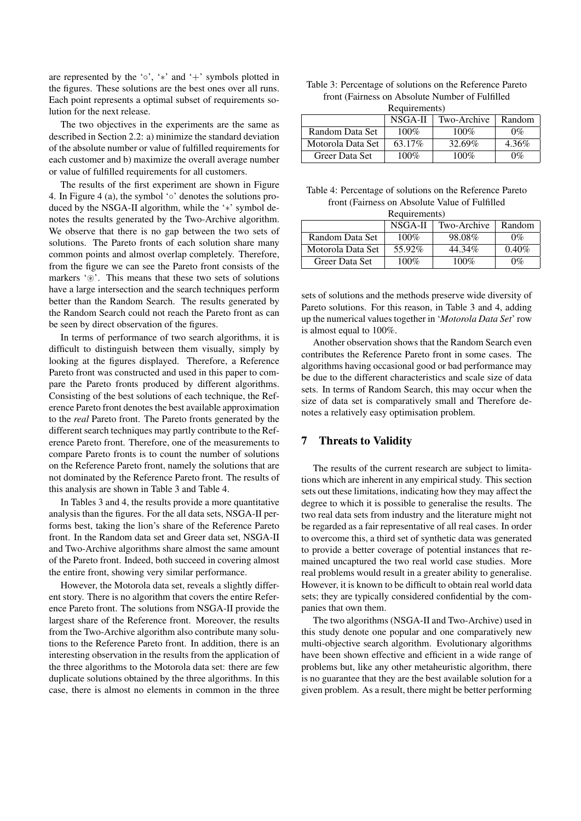are represented by the '◦', '∗' and '+' symbols plotted in the figures. These solutions are the best ones over all runs. Each point represents a optimal subset of requirements solution for the next release.

The two objectives in the experiments are the same as described in Section 2.2: a) minimize the standard deviation of the absolute number or value of fulfilled requirements for each customer and b) maximize the overall average number or value of fulfilled requirements for all customers.

The results of the first experiment are shown in Figure 4. In Figure 4 (a), the symbol '◦' denotes the solutions produced by the NSGA-II algorithm, while the '∗' symbol denotes the results generated by the Two-Archive algorithm. We observe that there is no gap between the two sets of solutions. The Pareto fronts of each solution share many common points and almost overlap completely. Therefore, from the figure we can see the Pareto front consists of the markers ' $\circledast$ '. This means that these two sets of solutions have a large intersection and the search techniques perform better than the Random Search. The results generated by the Random Search could not reach the Pareto front as can be seen by direct observation of the figures.

In terms of performance of two search algorithms, it is difficult to distinguish between them visually, simply by looking at the figures displayed. Therefore, a Reference Pareto front was constructed and used in this paper to compare the Pareto fronts produced by different algorithms. Consisting of the best solutions of each technique, the Reference Pareto front denotes the best available approximation to the *real* Pareto front. The Pareto fronts generated by the different search techniques may partly contribute to the Reference Pareto front. Therefore, one of the measurements to compare Pareto fronts is to count the number of solutions on the Reference Pareto front, namely the solutions that are not dominated by the Reference Pareto front. The results of this analysis are shown in Table 3 and Table 4.

In Tables 3 and 4, the results provide a more quantitative analysis than the figures. For the all data sets, NSGA-II performs best, taking the lion's share of the Reference Pareto front. In the Random data set and Greer data set, NSGA-II and Two-Archive algorithms share almost the same amount of the Pareto front. Indeed, both succeed in covering almost the entire front, showing very similar performance.

However, the Motorola data set, reveals a slightly different story. There is no algorithm that covers the entire Reference Pareto front. The solutions from NSGA-II provide the largest share of the Reference front. Moreover, the results from the Two-Archive algorithm also contribute many solutions to the Reference Pareto front. In addition, there is an interesting observation in the results from the application of the three algorithms to the Motorola data set: there are few duplicate solutions obtained by the three algorithms. In this case, there is almost no elements in common in the three

| Table 3: Percentage of solutions on the Reference Pareto |
|----------------------------------------------------------|
| front (Fairness on Absolute Number of Fulfilled          |
|                                                          |

| Requirements)                    |         |         |       |  |  |  |
|----------------------------------|---------|---------|-------|--|--|--|
| NSGA-II<br>Two-Archive<br>Random |         |         |       |  |  |  |
| Random Data Set                  | $100\%$ | $100\%$ | $0\%$ |  |  |  |
| Motorola Data Set                | 63.17%  | 32.69%  | 4.36% |  |  |  |
| Greer Data Set                   | $100\%$ | $100\%$ | $0\%$ |  |  |  |

| Table 4: Percentage of solutions on the Reference Pareto |
|----------------------------------------------------------|
| front (Fairness on Absolute Value of Fulfilled           |
|                                                          |

| Requirements)                    |         |         |       |  |  |  |
|----------------------------------|---------|---------|-------|--|--|--|
| NSGA-II<br>Two-Archive<br>Random |         |         |       |  |  |  |
| Random Data Set                  | $100\%$ | 98.08%  | $0\%$ |  |  |  |
| Motorola Data Set                | 55.92%  | 44.34%  | 0.40% |  |  |  |
| Greer Data Set                   | $100\%$ | $100\%$ | $0\%$ |  |  |  |

sets of solutions and the methods preserve wide diversity of Pareto solutions. For this reason, in Table 3 and 4, adding up the numerical values together in '*Motorola Data Set*' row is almost equal to 100%.

Another observation shows that the Random Search even contributes the Reference Pareto front in some cases. The algorithms having occasional good or bad performance may be due to the different characteristics and scale size of data sets. In terms of Random Search, this may occur when the size of data set is comparatively small and Therefore denotes a relatively easy optimisation problem.

### 7 Threats to Validity

The results of the current research are subject to limitations which are inherent in any empirical study. This section sets out these limitations, indicating how they may affect the degree to which it is possible to generalise the results. The two real data sets from industry and the literature might not be regarded as a fair representative of all real cases. In order to overcome this, a third set of synthetic data was generated to provide a better coverage of potential instances that remained uncaptured the two real world case studies. More real problems would result in a greater ability to generalise. However, it is known to be difficult to obtain real world data sets; they are typically considered confidential by the companies that own them.

The two algorithms (NSGA-II and Two-Archive) used in this study denote one popular and one comparatively new multi-objective search algorithm. Evolutionary algorithms have been shown effective and efficient in a wide range of problems but, like any other metaheuristic algorithm, there is no guarantee that they are the best available solution for a given problem. As a result, there might be better performing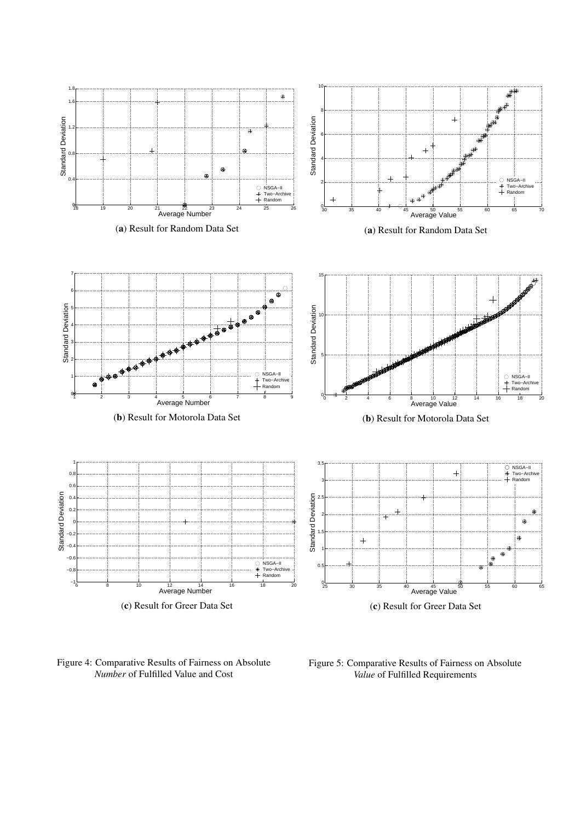

Figure 4: Comparative Results of Fairness on Absolute *Number* of Fulfilled Value and Cost

Figure 5: Comparative Results of Fairness on Absolute *Value* of Fulfilled Requirements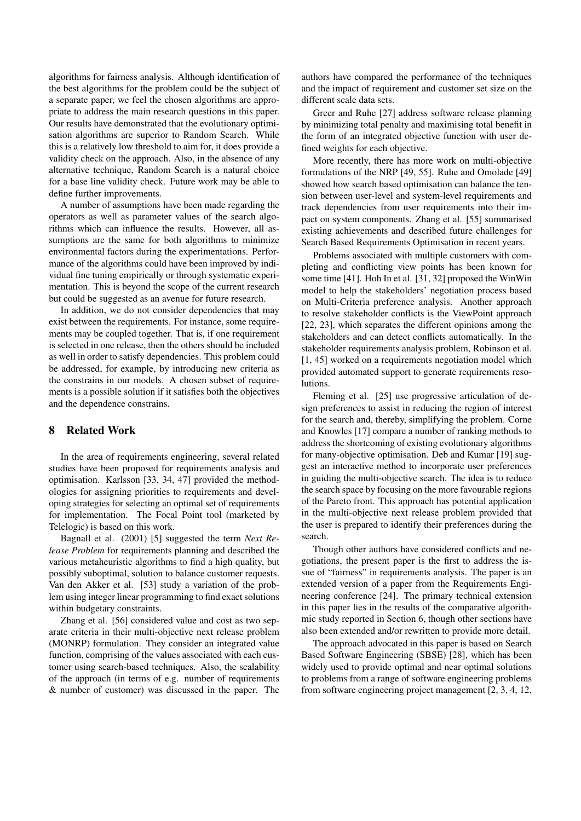algorithms for fairness analysis. Although identification of the best algorithms for the problem could be the subject of a separate paper, we feel the chosen algorithms are appropriate to address the main research questions in this paper. Our results have demonstrated that the evolutionary optimisation algorithms are superior to Random Search. While this is a relatively low threshold to aim for, it does provide a validity check on the approach. Also, in the absence of any alternative technique, Random Search is a natural choice for a base line validity check. Future work may be able to define further improvements.

A number of assumptions have been made regarding the operators as well as parameter values of the search algorithms which can influence the results. However, all assumptions are the same for both algorithms to minimize environmental factors during the experimentations. Performance of the algorithms could have been improved by individual fine tuning empirically or through systematic experimentation. This is beyond the scope of the current research but could be suggested as an avenue for future research.

In addition, we do not consider dependencies that may exist between the requirements. For instance, some requirements may be coupled together. That is, if one requirement is selected in one release, then the others should be included as well in order to satisfy dependencies. This problem could be addressed, for example, by introducing new criteria as the constrains in our models. A chosen subset of requirements is a possible solution if it satisfies both the objectives and the dependence constrains.

### 8 Related Work

In the area of requirements engineering, several related studies have been proposed for requirements analysis and optimisation. Karlsson [33, 34, 47] provided the methodologies for assigning priorities to requirements and developing strategies for selecting an optimal set of requirements for implementation. The Focal Point tool (marketed by Telelogic) is based on this work.

Bagnall et al. (2001) [5] suggested the term *Next Release Problem* for requirements planning and described the various metaheuristic algorithms to find a high quality, but possibly suboptimal, solution to balance customer requests. Van den Akker et al. [53] study a variation of the problem using integer linear programming to find exact solutions within budgetary constraints.

Zhang et al. [56] considered value and cost as two separate criteria in their multi-objective next release problem (MONRP) formulation. They consider an integrated value function, comprising of the values associated with each customer using search-based techniques. Also, the scalability of the approach (in terms of e.g. number of requirements & number of customer) was discussed in the paper. The authors have compared the performance of the techniques and the impact of requirement and customer set size on the different scale data sets.

Greer and Ruhe [27] address software release planning by minimizing total penalty and maximising total benefit in the form of an integrated objective function with user defined weights for each objective.

More recently, there has more work on multi-objective formulations of the NRP [49, 55]. Ruhe and Omolade [49] showed how search based optimisation can balance the tension between user-level and system-level requirements and track dependencies from user requirements into their impact on system components. Zhang et al. [55] summarised existing achievements and described future challenges for Search Based Requirements Optimisation in recent years.

Problems associated with multiple customers with completing and conflicting view points has been known for some time [41]. Hoh In et al. [31, 32] proposed the WinWin model to help the stakeholders' negotiation process based on Multi-Criteria preference analysis. Another approach to resolve stakeholder conflicts is the ViewPoint approach [22, 23], which separates the different opinions among the stakeholders and can detect conflicts automatically. In the stakeholder requirements analysis problem, Robinson et al. [1, 45] worked on a requirements negotiation model which provided automated support to generate requirements resolutions.

Fleming et al. [25] use progressive articulation of design preferences to assist in reducing the region of interest for the search and, thereby, simplifying the problem. Corne and Knowles [17] compare a number of ranking methods to address the shortcoming of existing evolutionary algorithms for many-objective optimisation. Deb and Kumar [19] suggest an interactive method to incorporate user preferences in guiding the multi-objective search. The idea is to reduce the search space by focusing on the more favourable regions of the Pareto front. This approach has potential application in the multi-objective next release problem provided that the user is prepared to identify their preferences during the search.

Though other authors have considered conflicts and negotiations, the present paper is the first to address the issue of "fairness" in requirements analysis. The paper is an extended version of a paper from the Requirements Engineering conference [24]. The primary technical extension in this paper lies in the results of the comparative algorithmic study reported in Section 6, though other sections have also been extended and/or rewritten to provide more detail.

The approach advocated in this paper is based on Search Based Software Engineering (SBSE) [28], which has been widely used to provide optimal and near optimal solutions to problems from a range of software engineering problems from software engineering project management [2, 3, 4, 12,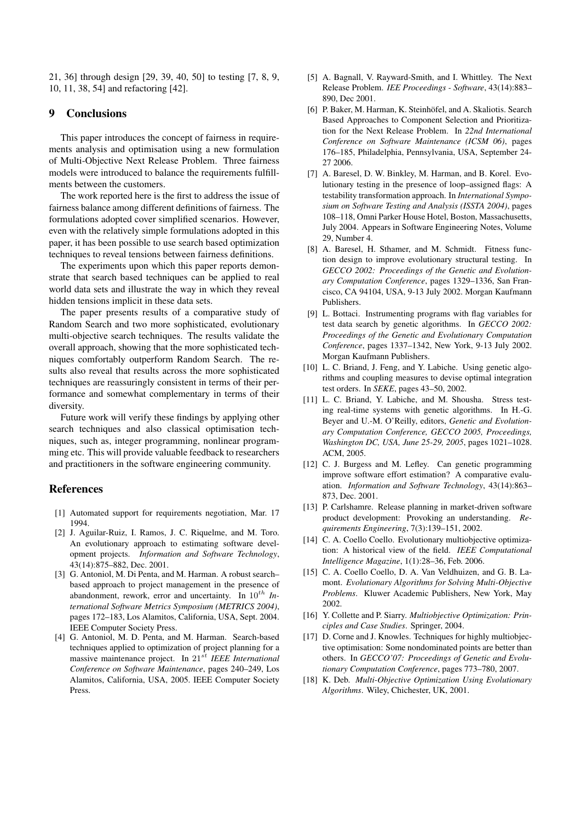21, 36] through design [29, 39, 40, 50] to testing [7, 8, 9, 10, 11, 38, 54] and refactoring [42].

# 9 Conclusions

This paper introduces the concept of fairness in requirements analysis and optimisation using a new formulation of Multi-Objective Next Release Problem. Three fairness models were introduced to balance the requirements fulfillments between the customers.

The work reported here is the first to address the issue of fairness balance among different definitions of fairness. The formulations adopted cover simplified scenarios. However, even with the relatively simple formulations adopted in this paper, it has been possible to use search based optimization techniques to reveal tensions between fairness definitions.

The experiments upon which this paper reports demonstrate that search based techniques can be applied to real world data sets and illustrate the way in which they reveal hidden tensions implicit in these data sets.

The paper presents results of a comparative study of Random Search and two more sophisticated, evolutionary multi-objective search techniques. The results validate the overall approach, showing that the more sophisticated techniques comfortably outperform Random Search. The results also reveal that results across the more sophisticated techniques are reassuringly consistent in terms of their performance and somewhat complementary in terms of their diversity.

Future work will verify these findings by applying other search techniques and also classical optimisation techniques, such as, integer programming, nonlinear programming etc. This will provide valuable feedback to researchers and practitioners in the software engineering community.

#### References

- [1] Automated support for requirements negotiation, Mar. 17 1994.
- [2] J. Aguilar-Ruiz, I. Ramos, J. C. Riquelme, and M. Toro. An evolutionary approach to estimating software development projects. *Information and Software Technology*, 43(14):875–882, Dec. 2001.
- [3] G. Antoniol, M. Di Penta, and M. Harman. A robust search– based approach to project management in the presence of abandonment, rework, error and uncertainty. In  $10^{th}$  *International Software Metrics Symposium (METRICS 2004)*, pages 172–183, Los Alamitos, California, USA, Sept. 2004. IEEE Computer Society Press.
- [4] G. Antoniol, M. D. Penta, and M. Harman. Search-based techniques applied to optimization of project planning for a massive maintenance project. In 21st *IEEE International Conference on Software Maintenance*, pages 240–249, Los Alamitos, California, USA, 2005. IEEE Computer Society Press.
- [5] A. Bagnall, V. Rayward-Smith, and I. Whittley. The Next Release Problem. *IEE Proceedings - Software*, 43(14):883– 890, Dec 2001.
- [6] P. Baker, M. Harman, K. Steinhöfel, and A. Skaliotis. Search Based Approaches to Component Selection and Prioritization for the Next Release Problem. In *22nd International Conference on Software Maintenance (ICSM 06)*, pages 176–185, Philadelphia, Pennsylvania, USA, September 24- 27 2006.
- [7] A. Baresel, D. W. Binkley, M. Harman, and B. Korel. Evolutionary testing in the presence of loop–assigned flags: A testability transformation approach. In *International Symposium on Software Testing and Analysis (ISSTA 2004)*, pages 108–118, Omni Parker House Hotel, Boston, Massachusetts, July 2004. Appears in Software Engineering Notes, Volume 29, Number 4.
- [8] A. Baresel, H. Sthamer, and M. Schmidt. Fitness function design to improve evolutionary structural testing. In *GECCO 2002: Proceedings of the Genetic and Evolutionary Computation Conference*, pages 1329–1336, San Francisco, CA 94104, USA, 9-13 July 2002. Morgan Kaufmann Publishers.
- [9] L. Bottaci. Instrumenting programs with flag variables for test data search by genetic algorithms. In *GECCO 2002: Proceedings of the Genetic and Evolutionary Computation Conference*, pages 1337–1342, New York, 9-13 July 2002. Morgan Kaufmann Publishers.
- [10] L. C. Briand, J. Feng, and Y. Labiche. Using genetic algorithms and coupling measures to devise optimal integration test orders. In *SEKE*, pages 43–50, 2002.
- [11] L. C. Briand, Y. Labiche, and M. Shousha. Stress testing real-time systems with genetic algorithms. In H.-G. Beyer and U.-M. O'Reilly, editors, *Genetic and Evolutionary Computation Conference, GECCO 2005, Proceedings, Washington DC, USA, June 25-29, 2005*, pages 1021–1028. ACM, 2005.
- [12] C. J. Burgess and M. Lefley. Can genetic programming improve software effort estimation? A comparative evaluation. *Information and Software Technology*, 43(14):863– 873, Dec. 2001.
- [13] P. Carlshamre. Release planning in market-driven software product development: Provoking an understanding. *Requirements Engineering*, 7(3):139–151, 2002.
- [14] C. A. Coello Coello. Evolutionary multiobjective optimization: A historical view of the field. *IEEE Computational Intelligence Magazine*, 1(1):28–36, Feb. 2006.
- [15] C. A. Coello Coello, D. A. Van Veldhuizen, and G. B. Lamont. *Evolutionary Algorithms for Solving Multi-Objective Problems*. Kluwer Academic Publishers, New York, May 2002.
- [16] Y. Collette and P. Siarry. *Multiobjective Optimization: Principles and Case Studies*. Springer, 2004.
- [17] D. Corne and J. Knowles. Techniques for highly multiobjective optimisation: Some nondominated points are better than others. In *GECCO'07: Proceedings of Genetic and Evolutionary Computation Conference*, pages 773–780, 2007.
- [18] K. Deb. *Multi-Objective Optimization Using Evolutionary Algorithms*. Wiley, Chichester, UK, 2001.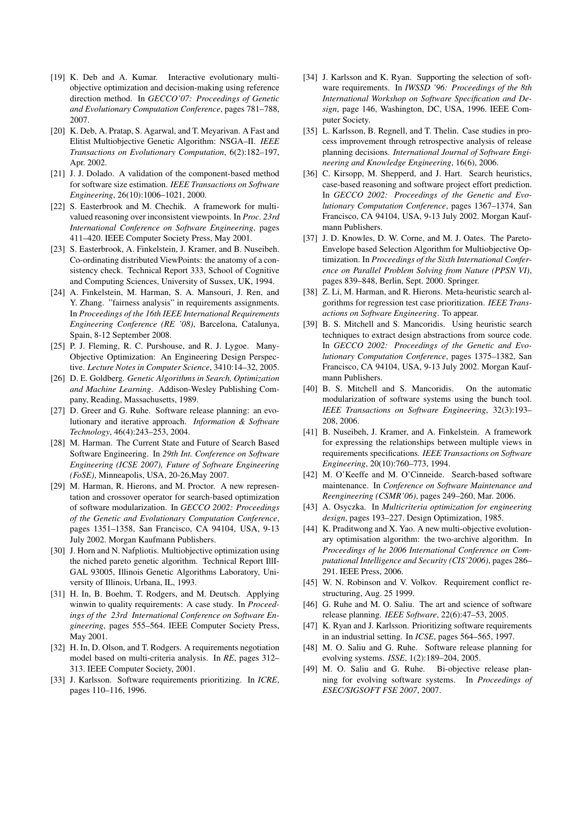- [19] K. Deb and A. Kumar. Interactive evolutionary multiobjective optimization and decision-making using reference direction method. In *GECCO'07: Proceedings of Genetic and Evolutionary Computation Conference*, pages 781–788, 2007.
- [20] K. Deb, A. Pratap, S. Agarwal, and T. Meyarivan. A Fast and Elitist Multiobjective Genetic Algorithm: NSGA–II. *IEEE Transactions on Evolutionary Computation*, 6(2):182–197, Apr. 2002.
- [21] J. J. Dolado. A validation of the component-based method for software size estimation. *IEEE Transactions on Software Engineering*, 26(10):1006–1021, 2000.
- [22] S. Easterbrook and M. Chechik. A framework for multivalued reasoning over inconsistent viewpoints. In *Proc. 23rd International Conference on Software Engineering*, pages 411–420. IEEE Computer Society Press, May 2001.
- [23] S. Easterbrook, A. Finkelstein, J. Kramer, and B. Nuseibeh. Co-ordinating distributed ViewPoints: the anatomy of a consistency check. Technical Report 333, School of Cognitive and Computing Sciences, University of Sussex, UK, 1994.
- [24] A. Finkelstein, M. Harman, S. A. Mansouri, J. Ren, and Y. Zhang. "fairness analysis" in requirements assignments. In *Proceedings of the 16th IEEE International Requirements Engineering Conference (RE '08)*, Barcelona, Catalunya, Spain, 8-12 September 2008.
- [25] P. J. Fleming, R. C. Purshouse, and R. J. Lygoe. Many-Objective Optimization: An Engineering Design Perspective. *Lecture Notes in Computer Science*, 3410:14–32, 2005.
- [26] D. E. Goldberg. *Genetic Algorithms in Search, Optimization and Machine Learning*. Addison-Wesley Publishing Company, Reading, Massachusetts, 1989.
- [27] D. Greer and G. Ruhe. Software release planning: an evolutionary and iterative approach. *Information & Software Technology*, 46(4):243–253, 2004.
- [28] M. Harman. The Current State and Future of Search Based Software Engineering. In *29th Int. Conference on Software Engineering (ICSE 2007), Future of Software Engineering (FoSE)*, Minneapolis, USA, 20-26,May 2007.
- [29] M. Harman, R. Hierons, and M. Proctor. A new representation and crossover operator for search-based optimization of software modularization. In *GECCO 2002: Proceedings of the Genetic and Evolutionary Computation Conference*, pages 1351–1358, San Francisco, CA 94104, USA, 9-13 July 2002. Morgan Kaufmann Publishers.
- [30] J. Horn and N. Nafpliotis. Multiobjective optimization using the niched pareto genetic algorithm. Technical Report IllI-GAL 93005, Illinois Genetic Algorithms Laboratory, University of Illinois, Urbana, IL, 1993.
- [31] H. In, B. Boehm, T. Rodgers, and M. Deutsch. Applying winwin to quality requirements: A case study. In *Proceedings of the 23rd International Conference on Software Engineering*, pages 555–564. IEEE Computer Society Press, May 2001.
- [32] H. In, D. Olson, and T. Rodgers. A requirements negotiation model based on multi-criteria analysis. In *RE*, pages 312– 313. IEEE Computer Society, 2001.
- [33] J. Karlsson. Software requirements prioritizing. In *ICRE*, pages 110–116, 1996.
- [34] J. Karlsson and K. Ryan. Supporting the selection of software requirements. In *IWSSD '96: Proceedings of the 8th International Workshop on Software Specification and Design*, page 146, Washington, DC, USA, 1996. IEEE Computer Society.
- [35] L. Karlsson, B. Regnell, and T. Thelin. Case studies in process improvement through retrospective analysis of release planning decisions. *International Journal of Software Engineering and Knowledge Engineering*, 16(6), 2006.
- [36] C. Kirsopp, M. Shepperd, and J. Hart. Search heuristics, case-based reasoning and software project effort prediction. In *GECCO 2002: Proceedings of the Genetic and Evolutionary Computation Conference*, pages 1367–1374, San Francisco, CA 94104, USA, 9-13 July 2002. Morgan Kaufmann Publishers.
- [37] J. D. Knowles, D. W. Corne, and M. J. Oates. The Pareto-Envelope based Selection Algorithm for Multiobjective Optimization. In *Proceedings of the Sixth International Conference on Parallel Problem Solving from Nature (PPSN VI)*, pages 839–848, Berlin, Sept. 2000. Springer.
- [38] Z. Li, M. Harman, and R. Hierons. Meta-heuristic search algorithms for regression test case prioritization. *IEEE Transactions on Software Engineering*. To appear.
- [39] B. S. Mitchell and S. Mancoridis. Using heuristic search techniques to extract design abstractions from source code. In *GECCO 2002: Proceedings of the Genetic and Evolutionary Computation Conference*, pages 1375–1382, San Francisco, CA 94104, USA, 9-13 July 2002. Morgan Kaufmann Publishers.
- [40] B. S. Mitchell and S. Mancoridis. On the automatic modularization of software systems using the bunch tool. *IEEE Transactions on Software Engineering*, 32(3):193– 208, 2006.
- [41] B. Nuseibeh, J. Kramer, and A. Finkelstein. A framework for expressing the relationships between multiple views in requirements specifications. *IEEE Transactions on Software Engineering*, 20(10):760–773, 1994.
- [42] M. O'Keeffe and M. O'Cinneide. Search-based software maintenance. In *Conference on Software Maintenance and Reengineering (CSMR'06)*, pages 249–260, Mar. 2006.
- [43] A. Osyczka. In *Multicriteria optimization for engineering design*, pages 193–227. Design Optimization, 1985.
- [44] K. Praditwong and X. Yao. A new multi-objective evolutionary optimisation algorithm: the two-archive algorithm. In *Proceedings of he 2006 International Conference on Computational Intelligence and Security (CIS'2006)*, pages 286– 291. IEEE Press, 2006.
- [45] W. N. Robinson and V. Volkov. Requirement conflict restructuring, Aug. 25 1999.
- [46] G. Ruhe and M. O. Saliu. The art and science of software release planning. *IEEE Software*, 22(6):47–53, 2005.
- [47] K. Ryan and J. Karlsson. Prioritizing software requirements in an industrial setting. In *ICSE*, pages 564–565, 1997.
- [48] M. O. Saliu and G. Ruhe. Software release planning for evolving systems. *ISSE*, 1(2):189–204, 2005.
- [49] M. O. Saliu and G. Ruhe. Bi-objective release planning for evolving software systems. In *Proceedings of ESEC/SIGSOFT FSE 2007*, 2007.